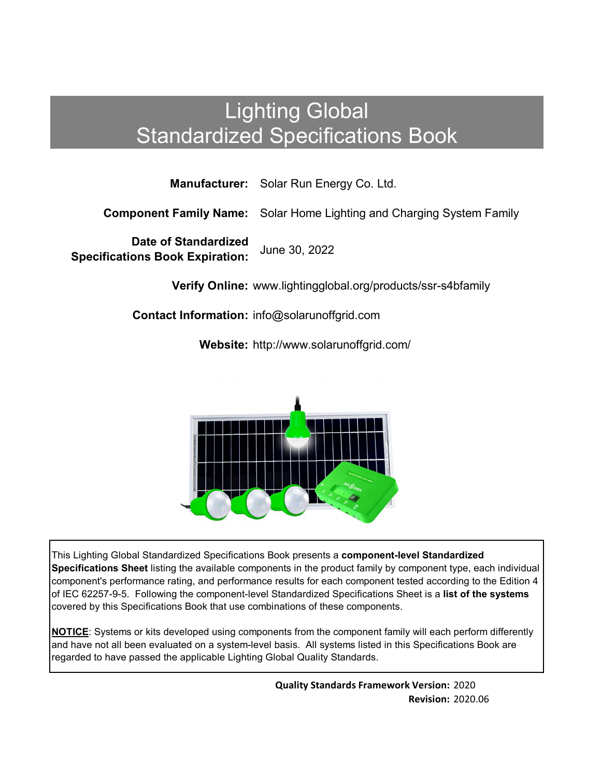# Lighting Global Standardized Specifications Book

**Manufacturer:** Solar Run Energy Co. Ltd.

**Component Family Name:** Solar Home Lighting and Charging System Family

**Date of Standardized Specifications Book Expiration:** June 30, 2022

**Verify Online:** www.lightingglobal.org/products/ssr-s4bfamily

**Contact Information:** info@solarunoffgrid.com

**Website:** http://www.solarunoffgrid.com/



This Lighting Global Standardized Specifications Book presents a **component-level Standardized Specifications Sheet** listing the available components in the product family by component type, each individual component's performance rating, and performance results for each component tested according to the Edition 4 of IEC 62257-9-5. Following the component-level Standardized Specifications Sheet is a **list of the systems**  covered by this Specifications Book that use combinations of these components.

**NOTICE**: Systems or kits developed using components from the component family will each perform differently and have not all been evaluated on a system-level basis. All systems listed in this Specifications Book are regarded to have passed the applicable Lighting Global Quality Standards.

> **Quality Standards Framework Version:** 2020 **Revision:** 2020.06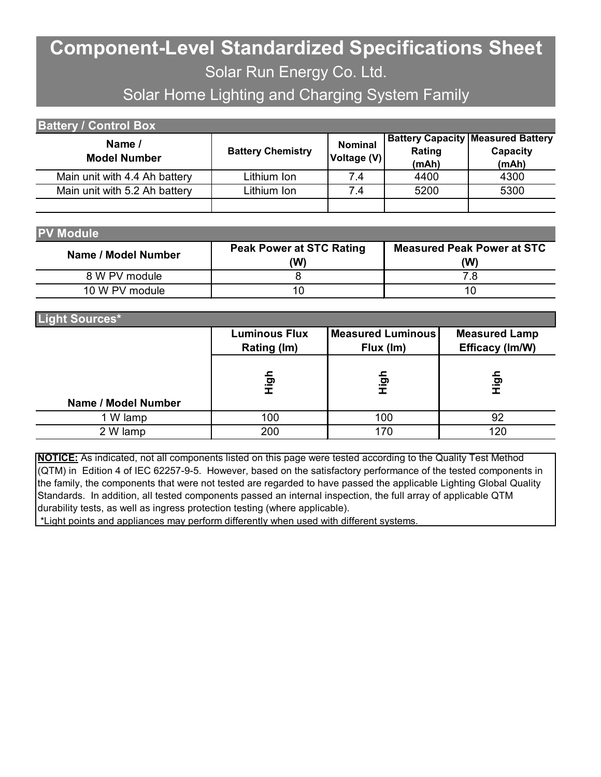## **Component-Level Standardized Specifications Sheet** Solar Run Energy Co. Ltd.

### Solar Home Lighting and Charging System Family

| <b>Battery / Control Box</b>  |                          |                               |                 |                                                               |  |
|-------------------------------|--------------------------|-------------------------------|-----------------|---------------------------------------------------------------|--|
| Name /<br><b>Model Number</b> | <b>Battery Chemistry</b> | <b>Nominal</b><br>Voltage (V) | Rating<br>(mAh) | <b>Battery Capacity Measured Battery</b><br>Capacity<br>(mAh) |  |
| Main unit with 4.4 Ah battery | Lithium Ion              | 7.4                           | 4400            | 4300                                                          |  |
| Main unit with 5.2 Ah battery | Lithium Ion              | 7.4                           | 5200            | 5300                                                          |  |

| <b>V Modul</b><br>ъı<br>H |  |
|---------------------------|--|
|---------------------------|--|

| Name / Model Number | <b>Peak Power at STC Rating</b><br>'W) | <b>Measured Peak Power at STC</b><br>(W |  |  |
|---------------------|----------------------------------------|-----------------------------------------|--|--|
| 8 W PV module       |                                        |                                         |  |  |
| 10 W PV module      |                                        |                                         |  |  |

| Light Sources*      |                      |                          |                      |
|---------------------|----------------------|--------------------------|----------------------|
|                     | <b>Luminous Flux</b> | <b>Measured Luminous</b> | <b>Measured Lamp</b> |
|                     | Rating (Im)          | Flux (Im)                | Efficacy (Im/W)      |
|                     | <u>နှ</u>            |                          |                      |
|                     |                      | 흥                        | 스<br>도               |
| Name / Model Number |                      |                          |                      |
| 1 W lamp            | 100                  | 100                      | 92                   |
| 2 W lamp            | 200                  | 170                      | 120                  |

**NOTICE:** As indicated, not all components listed on this page were tested according to the Quality Test Method (QTM) in Edition 4 of IEC 62257-9-5. However, based on the satisfactory performance of the tested components in the family, the components that were not tested are regarded to have passed the applicable Lighting Global Quality Standards. In addition, all tested components passed an internal inspection, the full array of applicable QTM durability tests, as well as ingress protection testing (where applicable).

\*Light points and appliances may perform differently when used with different systems.